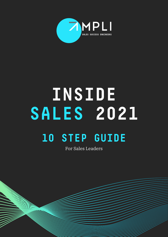

# **INSIDE SALES 2021 10 STEP GUIDE**

For Sales Leaders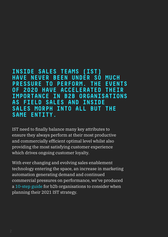### **INSIDE SALES TEAMS (IST) HAVE NEVER BEEN UNDER SO MUCH PRESSURE TO PERFORM. THE EVENTS OF 2020 HAVE ACCELERATED THEIR IMPORTANCE IN B2B ORGANISATIONS AS FIELD SALES AND INSIDE SALES MORPH INTO ALL BUT THE SAME ENTITY.**

IST need to finally balance many key attributes to ensure they always perform at their most productive and commercially efficient optimal level whilst also providing the most satisfying customer experience which drives ongoing customer loyalty.

With ever changing and evolving sales enablement technology entering the space, an increase in marketing automation generating demand and continued commercial pressures on performance, we've produced a 10-step guide for b2b organisations to consider when planning their 2021 IST strategy.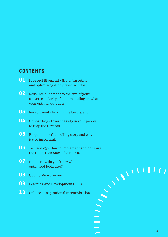### **CONTENTS**

- **01** Prospect Blueprint (Data, Targeting, and optimising AI to prioritise effort)
- **02** Resource alignment to the size of your universe + clarity of understanding on what your optimal output is
- **03** Recruitment Finding the best talent
- **04** Onboarding Invest heavily in your people to reap the rewards
- **05** Proposition Your selling story and why it's so important.
- **06** Technology How to implement and optimise the right 'Tech Stack' for your IST
- **07** KPI's How do you know what optimised looks like?
- **08** Quality Measurement
- **09** Learning and Development (L+D)
- 10 Culture + Inspirational Incentivisation.

**Contract** 

 $\overline{\phantom{0}}$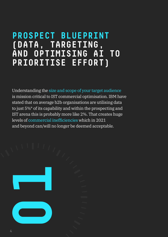### **PROSPECT BLUEPRINT (DATA, TARGETING, AND OPTIMISING AI TO PRIORITISE EFFORT)**

Understanding the size and scope of your target audience is mission critical to IST commercial optimisation. IBM have stated that on average b2b organisations are utilising data to just 5%\* of its capability and within the prospecting and IST arena this is probably more like 2%. That creates huge levels of commercial inefficiencies which in 2021 and beyond can/will no longer be deemed acceptable.

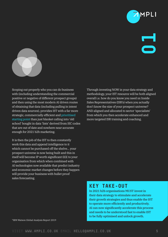

MPI I



Scoping out properly who you can do business with (including understanding the commercial positive or negative of different prospect groups) and then using the most modern AI driven routes of obtaining that data (including pulling in intent driven data sources), provides IST with a far more strategic, commercially efficient and prioritised starting point than just blanket calling into 'old school' bought in data 'lists' derived from SIC codes that are out of date and nowhere near accurate enough for 2021 b2b marketing. **Sourcing out property who you can also business**<br> **Through interding XOW in your data strategy and**<br>
with the cheating conduction angular constrained interding the commension<br>
and the function gradient of the comparison o

It is then the job of the IST to then constantly work this data and append intelligence to it which cannot be purchased off the shelve… your prospect universe is now being built and this in itself will become IP worth significant £££ to your organisation from which when combined with AI technologies now available that predict industry and economic market changes before they happen will provide your business with bullet proof sales forecasting.

Through investing NOW in your data strategy and methodology, your IST resource will be both aligned overall i.e. how do you know you need xx Inside Sales Representatives (ISR's) when you actually don't know the size of your prospect universe? AND aligned and allocated to sector 'specialists' from which you then accelerate enhanced and more targeted ISR training and coaching.

### **KEY TAKE-OUT**

In 2021 b2b organisations MUST invest in their data strategy to stimulate and accelerate their growth strategies and thus enable the IST to operate more efficiently and productively. AI can now significantly accelerate this process and needs to be understood fast to enable IST to be fully optimised and unlock growth.

\*IBM Watson Global Analysis Report 2019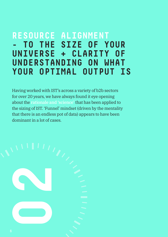### **RESOURCE ALIGNMENT - TO THE SIZE OF YOUR UNIVERSE + CLARITY OF UNDERSTANDING ON WHAT YOUR OPTIMAL OUTPUT IS**

Having worked with IST's across a variety of b2b sectors for over 20 years, we have always found it eye opening about the rationale and 'science' that has been applied to the sizing of IST. 'Funnel' mindset (driven by the mentality that there is an endless pot of data) appears to have been dominant in a lot of cases.

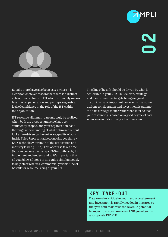



Equally there have also been cases where it is clear (for whatever reason) that there is a distinct sub-optimal volume of IST which ultimately means less market penetration and perhaps suggests a lack of confidence in the role of the IST within the organisation.

IST resource alignment can only truly be realised when both the prospect universe has been sufficiently scoped, and your organisation has a thorough understanding of what optimised output looks like (driven by the universe, quality of your Inside Sales Representatives, ongoing coaching + L&D, technology, strength of the proposition and industry leading KPI's). This of course takes time (but can be done over a rapid 3-9-month cycle) to implement and understand so it's important that all you follow all steps in this guide simultaneously to help steer what is a commercially viable 'line of best fit' for resource sizing of your IST. **Finally there have and term** consideration in  $\mathbf{W} = \mathbf{W} \times \mathbf{W}$ <br> **VISIT WAY AMPLI.CO.UK EMAIL HELLO@AMPLI.CO.UK**<br>
State of the state of the state of the state of the state of the state of the state of the state of

This line of best fit should be driven by what is achievable in your 2021 IST delivery strategy and the commercial targets being assigned to the unit. What is important however is that some upfront consideration and investment is put into the data strategy sooner rather than later so that your resourcing is based on a good degree of data science even if its initially a headline view.

### **KEY TAKE-OUT**

Data remains critical to your resource alignment and investment is rapidly needed in this area so that you both maximise the revenue potential from your prospect universe AND you align the appropriate IST FTE.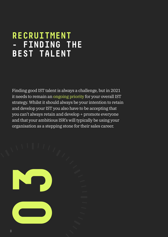### **RECRUITMENT - FINDING THE BEST TALENT**

Finding good IST talent is always a challenge, but in 2021 it needs to remain an ongoing priority for your overall IST strategy. Whilst it should always be your intention to retain and develop your IST you also have to be accepting that you can't always retain and develop + promote everyone and that your ambitious ISR's will typically be using your organisation as a stepping stone for their sales career.

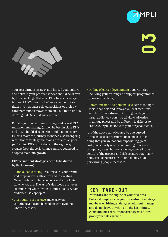

Your recruitment strategy and indeed your culture and belief in your product/service should be driven by the knowledge that good ISR's have an average tenure of 18-24 months before you either move them into new sales related positions or their own career ambitions moves them on….but that's fine so don't fight if. Accept it and embrace it.

Equally your recruitment strategy and overall IST management strategy (driven by best in class KPI's and L+D) should also bear in mind that not every ISR will make the journey so indeed a solid ongoing recruitment strategy maintains pressure on poor performing IST's and if done in the right way creates the right performance culture you need to adopt to maintain growth. **V**OR **EXERCT AND THE CONDUCT CONDUCTS (SEE AT AN ANDELE CO.UK EMAIL HELLO@AMPLI.CO.UK <b>PROPERTIES**<br>
USE CONDUCT AN AMPLI.CO.UK EMAIL HELLO@AMPLI.CO.UK **and the conduct of the set of the second state and properties are ex** 

#### IST recruitment strategies need to be driven by the following:

- Stand out advertising Making sure your brand and proposition is attractive and interesting. Never undersell what you do or make apologies for who you are. The art of sales theatre is never so important when trying to entice that very same audience - salespeople!
- Clear outline of package and clarity on OTE (believable and backed up with evidence where necessary).
- Outline of career development opportunities including your training and support programmes (more on that later).
- Communicated and personalised across the right social channels and innovative/local mediums which will have strong cut through with your target audience - don't' be afraid to advertise in unique places and be different. It all helps to create your pull factor with your target audience.

All of the above can of course be outsourced to specialist sales recruitment agencies but in doing that you are not only expediating great cost (particularly when you have high vacancy occupancy rates) but not allowing yourself to be in control of the process and risk corners potentially being cut as the pressure to find quality high performing people increases.

### **KEY TAKE-OUT**

Your ISR's are the engine of your business. Put solid emphasis on your recruitment strategy maybe even hiring a talent/recruitment manager and do not leave anything till the last minute. A sustainable recruitment strategy will future proof your sales growth.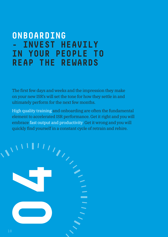### **ONBOARDING - INVEST HEAVILY IN YOUR PEOPLE TO REAP THE REWARDS**

The first few days and weeks and the impression they make on your new ISR's will set the tone for how they settle in and ultimately perform for the next few months.

High quality training and onboarding are often the fundamental element to accelerated ISR performance. Get it right and you will embrace fast output and productivity. Get it wrong and you will quickly find yourself in a constant cycle of retrain and rehire.

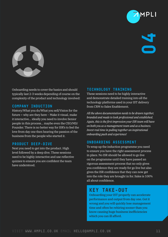



Onboarding needs to cover the basics and should typically last 2-3 weeks depending of course on the complexity of the product and technology involved:

#### **COMPANY INDUCTION**

History/What you do/What you sell/Vision for the future + why are they here – Make it visual, make it interactive… ideally you need to involve Senior people in this process… maybe even the CEO/MD/ Founder. There is no better way for ISR's to feel the love from day one then hearing the passion of the business from the people who started it.

#### **PRODUCT DEEP-DIVE**

Next you need to get into the product. High level followed by a deep dive. These sessions need to be highly interactive and use reflective quizzes to ensure you are confident the team have understood.

#### **TECHNOLOGY TRAINING**

These sessions need to be highly interactive and demonstrate detailed training into all the technology platforms used in your IST delivery from CRM to Sales Enablement.

*All the above documentation needs to be drawn together, branded and made to look professional and established. Again, this is the first impression your ISR team will have on both you as a management team and as a business. Invest real time in pulling together an inspirational onboarding pack and experience!*

#### **ONBOARDING ASSESSMENT**

To wrap up the induction programme you need to ensure you have the right assessment process in place. No ISR should be allowed to go live on the programme until they have passed an rigorous assessment process that no only gives you confidence they are ready for go live but also gives the ISR confidence that they can now get into the role they are brought in for. Sales is 100% all about confidence. **Distancing rends.** In convertive lataics and should<br>
TECHNOLOGY TRATNITAG<br>
Strictly later 2 is vector depending of course on the<br>
These exsistes results in the distance of the considered explicit training into a<br>
Later o

### **KEY TAKE-OUT**

Onboarding your IST properly can accelerate performance and output from day one. Get it wrong and you will quickly lose management time and often be rehiring sooner than you know causing huge business inefficiencies which you can ill afford.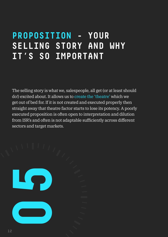## **PROPOSITION - YOUR SELLING STORY AND WHY IT'S SO IMPORTANT**

The selling story is what we, salespeople, all get (or at least should do!) excited about. It allows us to create the 'theatre' which we get out of bed for. If it is not created and executed properly then straight away that theatre factor starts to lose its potency. A poorly executed proposition is often open to interpretation and dilution from ISR's and often is not adaptable sufficiently across different sectors and target markets.

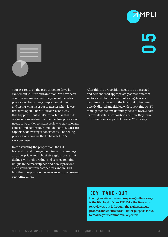



Your IST relies on the proposition to drive its excitement, culture and ambition. We have seen countless examples over the years of the sales proposition becoming complex and diluted and losing what it set out to master when it was first developed. There's lots of reasons why that happens… but what's important is that b2b organisations realise that their selling proposition needs to be under constant review to stay relevant, concise and cut through enough that ALL ISR's are capable of delivering it consistently. The selling proposition remains the lifeblood of IST's very purpose. **V**WE ST release the proposition but drive its<br>
visual ST release the proposition becomes release and personalized appropriately account of the control of the control of the control of the control of the control of the con

In constructing the proposition, the IST leadership and management team must undergo an appropriate and robust strategic process that defines why their product and service remains unique in the marketplace and how it provides clear stand out from competitors and in 2021 how their proposition has relevance to the current economic times.

After this the proposition needs to be dissected and personalised appropriately across different sectors and channels without losing its overall headline cut-through… the line for it to become quickly diluted and fiddled with is very fine so IST management teams definitely need to review both its overall selling proposition and how they train it into their teams as part of their 2021 strategy.

### **KEY TAKE-OUT**

Having an attractive and inspiring selling story is the lifeblood of your IST. Take the time now to review it, put it through the right strategic process and ensure its still fit for purpose for you to realise your commercial objective.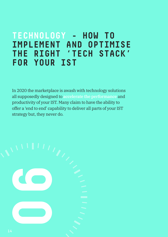### **TECHNOLOGY - HOW TO IMPLEMENT AND OPTIMISE THE RIGHT 'TECH STACK' FOR YOUR IST**

In 2020 the marketplace is awash with technology solutions all supposedly designed to accelerate the performance and productivity of your IST. Many claim to have the ability to offer a 'end to end' capability to deliver all parts of your IST strategy but, they never do.

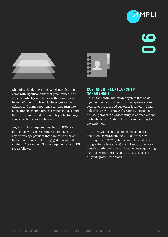



Obtaining the right IST Tech Stack can also often come with significant internal procurement and departmental lag which means the commercial benefit it's meant to bring to the organisation is delayed and in my experience can also turn into huge 'transformation projects' which in 2021, and the advancement and compatibility of technology should certainly not be the case. **VISIT WHICH CONTRAINS AND SERVICES**<br>
VISIT WHICH CONTRAINS AND CONTRAINS AND CONTRAINS AND CONTRAINS ARE CONTRAINS AND CONTRAINS ARE CONTRAINS AND CONTRAINS ARE CONTRAINS AND CONTRAINS ARE CONTRAINS AND CONTRAINS ARE CONT

Any technology implemented into an IST should be aligned with clear commercial impact and any technology provider that cannot be clear on that impact should not be engaged into your IST strategy. The key Tech Stack components for an IST are as follows:



#### **CUSTOMER RELATIONSHIP MANAGEMENT**

This is the central mainframe system that holds together the data and controls the pipeline stages of your sales process and customer journey. In 2021 b2b sales growth strategy the CRM system should be used parallel to a 21st century sales enablement tools which the IST should use to run their day to day activities.

The CRM system should not be mistaken as a operationalised system the IST use every day… the majority of CRM systems (including Salesforce to a greater or less extent) are not set-up to enable effective outbound voice and cadencing sequencing (see below) therefore need to be used as part of a fully integrated 'tech stack'.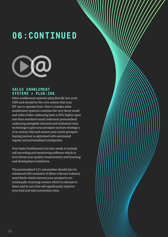### **06:CONTINUED**



#### **SALES ENABLEMENT SYSTEMS + PLUG-INS**

Sales enablement systems plug directly into your CRM and should be the core system that your IST use to operate from. New to market sales enablement systems combine the very latest email and video (video cadencing have a 30% higher open rate than standard email cadences) personalised cadencing alongside inbound and outbound voice technology to give your prospect nurture strategy a 21st century feel and ensure your entire prospect buying journey is optimised with automated regular and personalised touchpoints.

Your Sales Enablement tool also needs to include call recording and monitoring software which in turn drives your quality measurement and learning and development initiatives.

The personalised 121 automation should also be enhanced with inclusion of direct relevant industry news feeds which ensures your prospects are continually receiving content which is relevant to them and in turn this will significantly improve your lead and sale conversion rates.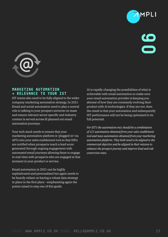

1 D I I



#### **MARKETING AUTOMATION + RELEVANCE TO YOUR IST**

IST teams also need to be fully aligned to the wider company marketing automation strategy. In 2021 Email and social automation need to play a central role to talking to your prospect universe on mass and ensure relevant sector specific and industry content is served across ill planned out email automation journeys.

Your tech stack needs to ensure that your marketing automation platform is 'plugged-in' via API's into your sales enablement tool so that ISR's are notified when prospects reach a lead score generated through ongoing engagement with automated email journeys allowing them to engage in real-time with prospects who are engaged at that moment in your product or service. **VIEW RETITIES AUTOMATION**<br> **V RELEVANCE TO YOUR IST**<br> **V WE RELEVANCE TO YOUR IST**<br> **VISIT WATER TO YOUR IST**<br> **VISIT WATER TO YOUR IST**<br> **V CONDITION**<br> **VISIT AND CONSULTER CONSULTER AND CONSULTANT CONSULTER (AND A** 

Email automation in 2021 can be highly sophisticated and personalised but again needs to be heavily reliant on having a robust data strategy in place in the first place - emphasising again the points raised in step one of this guide.

AI is rapidly changing the possibilities of what is achievable with email automation so make sure your email automation provider is keeping you abreast of how they are constantly evolving their product with AI technologies. If they are not, then the result is that your automation and subsequently IST performance will not be being optimised to its full potential.

*For IST's the automation mix should be a combination of 121 automation obtained from your sales enablement tool and mass automation obtained from your marketing automation platform. They both need to be aligned to the commercial objective and be aligned in their mission to enhance the prospect journey and improve lead and sale conversion rates.*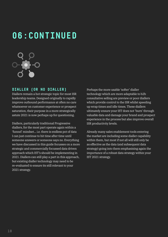### **06:CONTINUED**



#### **DIALLER (OR NO DIALLER)**

Diallers remain a hot strategic topic for most ISR leadership teams. Designed originally to rapidly improve outbound performance at often no care whatsoever on customer experience or prospect saturation, their purpose in a more strategically astute 2021 is now perhaps up for questioning.

Diallers, particularly traditional Progressive diallers, for the most part operate again within a 'funnel' mindset... i.e. there is endless pot of data I can just continue to hit time after time until someone answers or someone says no. Everything we have discussed in this guide focusses on a more strategic and commercially focussed data driven approach which IST's should be implementing in 2021. Diallers can still play a part in this approach, but existing dialler technology may need to be re-evaluated to ensure its still relevant to your 2021 strategy.

Perhaps the more usable 'softer' dialler technology which are more adaptable to b2b consultative selling are preview or poor diallers which provide control to the ISR whilst speeding up wrap times and idle times. These diallers ultimately ensure your IST does not 'burn' through valuable data and damage your brand and prospect experience in the process but also improve overall ISR productivity levels.

Already many sales enablement tools entering the market are including some dialler capability within them, but most if not all will still only be as effective as the data (and subsequent data strategy) going into them emphasising again the importance of a robust data strategy within your IST 2021 strategy.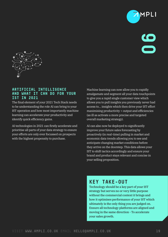



#### **ARTIFICIAL INTELLIGENCE AND WHAT IT CAN DO FOR YOUR IST IN 2021**

The final element of your 2021 Tech Stack needs to be understanding the role AI can bring to your IST operation and how most importantly machine learning can accelerate your productivity and identify quick efficiency gains.

AI technologies in 2021 can firstly accelerate and prioritise all parts of your data strategy to ensure your efforts are only ever focussed on prospects with the highest propensity to purchase.

Machine learning can now allow you to rapidly amalgamate and segment all your data touchpoints to give you a rapid single customer view which allows you to pull insights you previously never had access to… insights which then drive your IST effort maximising productivity + output and efficiencies (as ill as activate a more precise and targeted overall marketing strategy).

AI can also now be deployed to significantly improve your future sales forecasting by proactively (in real-time) pulling in market and economic data trends allowing you to see and anticipate changing market conditions before they arrive on the doorstep. This data allows your IST to shift tactics accordingly and ensure your brand and product stays relevant and concise in your selling proposition.

### **KEY TAKE-OUT**

Technology should be a key part of your IST strategy but serves no or very little purpose without the commercial context it brings and how it optimises performance of your IST which ultimately is the only thing you are judged on. Ensure all technology platforms are aligned and moving in the same direction - To accelerate your sales growth.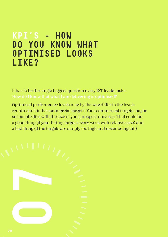### **KPI'S - HOW DO YOU KNOW WHAT OPTIMISED LOOKS LIKE?**

It has to be the single biggest question every IST leader asks:

Optimised performance levels may by the way differ to the levels required to hit the commercial targets. Your commercial targets maybe set out of kilter with the size of your prospect universe. That could be a good thing (if your hitting targets every week with relative ease) and a bad thing (if the targets are simply too high and never being hit.)

**07**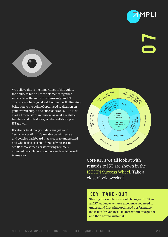

# **07**



We believe this is the importance of this guide... the ability to bind all these elements together in parallel is the route to optimising your IST. The rate at which you do ALL of them will ultimately bring you to the point of optimised realisation on your overall output and success as an IST. To kick start all these steps in unison (against a realistic timeline and milestones) is what will drive your IST growth.

It's also critical that your data analysts and 'tech stack platforms' provide you with a clear and concise dashboard that is easy to understand and which also is visible for all of your IST to see (Plasma screens or if working remotely accessed via collaboration tools such as Microsoft teams etc).



Core KPI's we all look at with regards to IST are shown in the IST KPI Success Wheel. Take a closer look overleaf...

### **KEY TAKE-OUT**

Striving for excellence should be in your DNA as an IST leader, to achieve excellence you need to understand first what optimised performance looks like (driven by all factors within this guide) and then how to sustain it.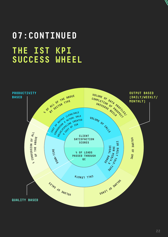# **07:CONTINUED THE IST KPI SUCCESS WHEEL**

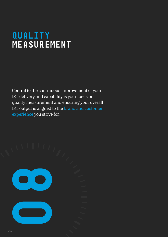### **QUALITY MEASUREMENT**

Central to the continuous improvement of your IST delivery and capability is your focus on quality measurement and ensuring your overall IST output is aligned to the brand and customer experience you strive for.

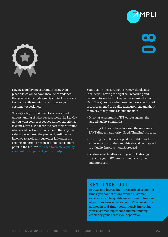

# **08**



Having a quality measurement strategy in place allows you to have absolute confidence that you have the right quality control processes to consistently maintain and improve your customer experience.

Strategically you first need to have a sound understanding of what success looks like i.e. How do you want your prospect/customer experience to come across? What are the parameters around what a lead is? How do you ensure that any direct sales have followed the proper due-diligence involved to avoid any customer fall-out in the cooling off period or even at a later subsequent point in the future? You need to create a quality standard for all parts of your IST output.

Your quality measurement strategy should also include you having the right call recording and call monitoring technology in place (linked to your Tech Stack). You also then need to have a dedicated resource aligned to quality measurement and their main day to day duties should include:

- Ongoing assessment of IST output against the agreed quality standard/s
- Ensuring ALL leads have followed the necessary BANT (Budget, Authority, Need, Timeline) process.
- Ensuring the ISR has adopted the right brand experience and dialect and this should be mapped to a Quality Improvement Scorecard.
- Feeding in all feedback into your L+D strategy to ensure your ISR's are continuously trained and improved.

### **KEY TAKE-OUT**

In 2021 and increasingly pressurised economic times, you cannot afford for bad customer experiences. The quality measurement function of your business ensures your IST is constantly audited in real-time - continuously improving your customer experience and maximising efficiency gains across your operation.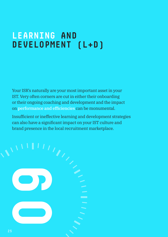## **LEARNING AND DEVELOPMENT (L+D)**

Your ISR's naturally are your most important asset in your IST. Very often corners are cut in either their onboarding or their ongoing coaching and development and the impact on performance and efficiencies can be monumental.

Insufficient or ineffective learning and development strategies can also have a significant impact on your IST culture and brand presence in the local recruitment marketplace.

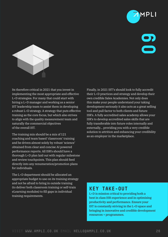





Its therefore critical in 2021 that you invest in implementing the most appropriate and effective L+D strategies. For many that could start with hiring a L+D manager and working as a senior IST leadership team to assist them in developing a robust L+D strategy. A strategy that puts effective training as the core focus, but which also strives to align with the quality measurement team and naturally the commercial objectives of the overall IST.

The training mix should be a mix of 121 coaching and team based 'classroom' training and be driven almost solely by robust 'science' obtained from clear and concise AI powered performance reports. All ISR's should have a thorough L+D plan laid out with regular milestone and review touchpoints. This plan should feed directly into any renumeration/promotion plans for individuals.

The L+D department should be allocated an appropriate budget to use on its training strategy and not be afraid to bring in outside training (to deliver both classroom training or self-train eLearning modules) to fill gaps in individual training requirements.

Finally, in 2021 IST's should look to fully accredit their L+D practices and strategy and develop their own credible Sales Academies. Not only does this make your people understand your taking development seriously it also acts as a great selling tool and pull factor to both clients and future ISR's. A fully accredited sales academy allows your ISR's to develop accredited sales skills that are fully transferable into future roles internally and externally... providing you with a very credible solution to attrition and enhancing your credibility as an employer in the marketplace.

### **KEY TAKE-OUT**

L+D is mission critical to providing both a best in class ISR experience and in optimising productivity and performance. Ensure your IST is constantly striving in the L+D space and bringing in innovative and credible development resources + programmes.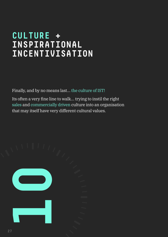### **CULTURE + INSPIRATIONAL INCENTIVISATION**

Finally, and by no means last… the culture of IST!

Its often a very fine line to walk… trying to instil the right sales and commercially driven culture into an organisation that may itself have very different cultural values.

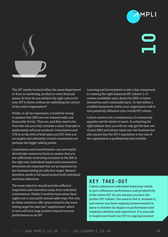



The IST maybe located within the same department or floor as marketing, product or even financial teams. So how do you achieve the right culture for your IST to thrive without de-stabilising the culture of the entire organisation?

Firstly, in all my experience, it would be wrong to assume that ISR's are not commercially and financially driven. They are, and they need to be. How else can you truly motivate a team of people to passionately sell your products. Commission and OTE is in the DNA of both sales and IST. How you set targets and ultimately reward commission are perhaps the bigger talking points.

Commission and incentivisation can and maybe should take numerous forms to ensure that you are sufficiently motivating everyone in the ISR in the right way. Individual targets and commission structures are important but not as important as the business hitting its collective target. Reward therefore needs to be based around both individual and team objectives.

The team objective should provide sufficient inspiration and innovation away from individual commissions. Maybe it involves team away days/ nights out or annual/bi-annual sales trips. Not only do these initiatives offer great reward to the team hitting target but also fuel 'togetherness' which in turn will have huge positive impacts on your performance as an IST.

Learning and development is also a key component to creating the right balanced IST culture. L+D creates credibility and a desire for ISR's to better themselves and continually learn. To this within a credible framework within your organisation will in turn positively influence your overall IST culture.

Culture needs to be a combination of commercial appetite and the desire to learn. In achieving the right balance then you will not only get the best out of your ISR's and attract talent into the business but also ensure that the IST's reputation in the rest of the organisation is professional and credible.

### **KEY TAKE-OUT**

Culture influences individual behaviour which in turn influences performance and productivity of the entire IST. Do not assume you have the perfect IST culture. You need to test it, evaluate it, and ensure you have ongoing measurements in place to monitor its impact on performance and employee attrition and experience. It is your job to inspire and lead your IST to ongoing success!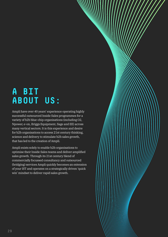## **A BIT ABOUT US:**

Ampli have over 40 years' experience operating highly successful outsourced Inside Sales programmes for a variety of b2b blue-chip organisations (including O2, Npower, e-on, Briggs Equipment, Sage and EE) across many vertical sectors. It is this experience and desire for b2b organisations to access 21st century thinking, science and delivery to stimulate b2b sales growth, that has led to the creation of Ampli.

Ampli exists solely to enable b2b organisations to optimise their Inside Sales teams and deliver amplified sales growth. Through its 21st century blend of commercially focussed consultancy and outsourced (bridging) services Ampli quickly becomes an extension of your IST and operates on a strategically driven 'quick win' mindset to deliver rapid sales growth.